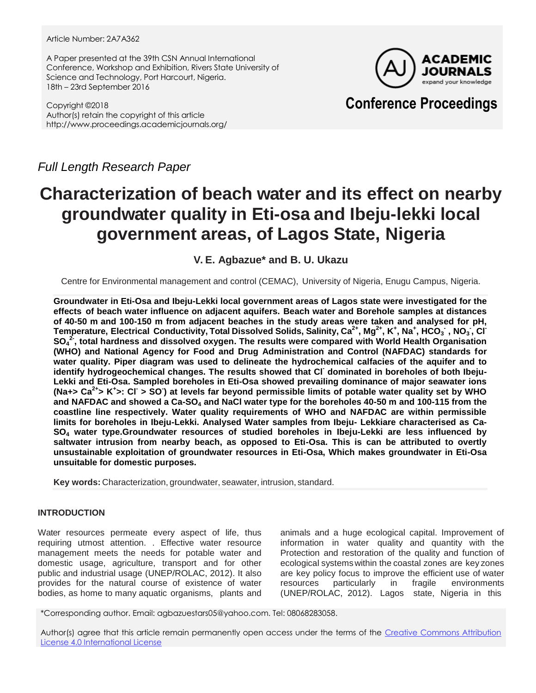#### Article Number: 2A7A362

A Paper presented at the 39th CSN Annual International Conference, Workshop and Exhibition, Rivers State University of Science and Technology, Port Harcourt, Nigeria. 18th – 23rd September 2016

Copyright ©2018 Author(s) retain the copyright of this article http://www.proceedings.academicjournals.org/



## **Conference Proceedings**

*Full Length Research Paper*

# **Characterization of beach water and its effect on nearby groundwater quality in Eti-osa and Ibeju-lekki local government areas, of Lagos State, Nigeria**

### **V. E. Agbazue\* and B. U. Ukazu**

Centre for Environmental management and control (CEMAC), University of Nigeria, Enugu Campus, Nigeria.

**Groundwater in Eti-Osa and Ibeju-Lekki local government areas of Lagos state were investigated for the effects of beach water influence on adjacent aquifers. Beach water and Borehole samples at distances of 40-50 m and 100-150 m from adjacent beaches in the study areas were taken and analysed for pH,** Temperature, Electrical Conductivity, Total Dissolved Solids, Salinity, Ca $^{2+}$ , Mg $^{2+}$ , K $^+$ , Na $^+$ , HCO $_3^{\cdot}$ , NO $_3^{\cdot}$ , Cl $^{\cdot}$ **SO<sup>4</sup> 2- , total hardness and dissolved oxygen. The results were compared with World Health Organisation (WHO) and National Agency for Food and Drug Administration and Control (NAFDAC) standards for water quality. Piper diagram was used to delineate the hydrochemical calfacies of the aquifer and to identify hydrogeochemical changes. The results showed that Cl-dominated in boreholes of both Ibeju-Lekki and Eti-Osa. Sampled boreholes in Eti-Osa showed prevailing dominance of major seawater ions (Na+> Ca2+> K<sup>+</sup> >: Cl- > SO- ) at levels far beyond permissible limits of potable water quality set by WHO and NAFDAC and showed a Ca-SO<sup>4</sup> and NaCl water type for the boreholes 40-50 m and 100-115 from the coastline line respectively. Water quality requirements of WHO and NAFDAC are within permissible limits for boreholes in Ibeju-Lekki. Analysed Water samples from Ibeju- Lekkiare characterised as Ca-SO<sup>4</sup> water type.Groundwater resources of studied boreholes in Ibeju-Lekki are less influenced by saltwater intrusion from nearby beach, as opposed to Eti-Osa. This is can be attributed to overtly unsustainable exploitation of groundwater resources in Eti-Osa, Which makes groundwater in Eti-Osa unsuitable for domestic purposes.**

**Key words:** Characterization, groundwater, seawater, intrusion, standard.

#### **INTRODUCTION**

Water resources permeate every aspect of life, thus requiring utmost attention. . Effective water resource management meets the needs for potable water and domestic usage, agriculture, transport and for other public and industrial usage (UNEP/ROLAC, 2012). It also provides for the natural course of existence of water bodies, as home to many aquatic organisms, plants and animals and a huge ecological capital. Improvement of information in water quality and quantity with the Protection and restoration of the quality and function of ecological systemswithin the coastal zones are key zones are key policy focus to improve the efficient use of water resources particularly in fragile environments (UNEP/ROLAC, 2012). Lagos state, Nigeria in this

\*Corresponding author. Email: agbazuestars05@yahoo.com. Tel: 08068283058.

Author(s) agree that this article remain permanently open access under the terms of the [Creative Commons Attribution](http://creativecommons.org/licenses/by/4.0/deed.en_US)  [License 4.0 International License](http://creativecommons.org/licenses/by/4.0/deed.en_US)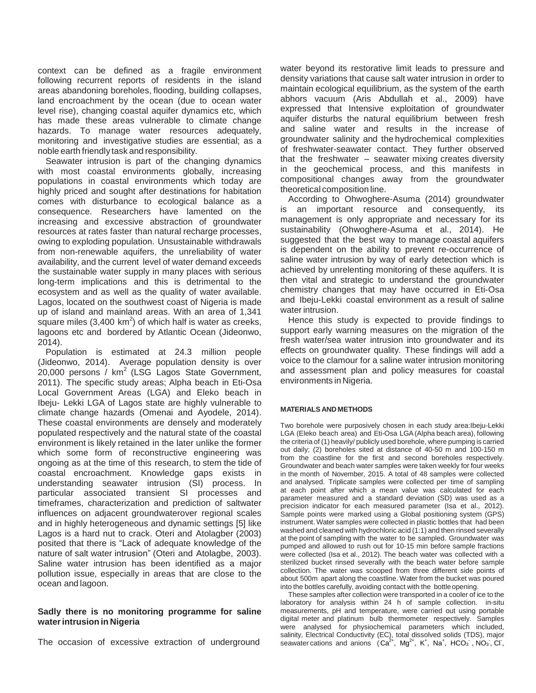context can be defined as a fragile environment following recurrent reports of residents in the island areas abandoning boreholes, flooding, building collapses, land encroachment by the ocean (due to ocean water level rise), changing coastal aquifer dynamics etc, which has made these areas vulnerable to climate change hazards. To manage water resources adequately, monitoring and investigative studies are essential; as a noble earth friendly task and responsibility.

Seawater intrusion is part of the changing dynamics with most coastal environments globally, increasing populations in coastal environments which today are highly priced and sought after destinations for habitation comes with disturbance to ecological balance as a consequence. Researchers have lamented on the increasing and excessive abstraction of groundwater resources at rates faster than natural recharge processes, owing to exploding population. Unsustainable withdrawals from non-renewable aquifers, the unreliability of water availability, and the current level of water demand exceeds the sustainable water supply in many places with serious long-term implications and this is detrimental to the ecosystem and as well as the quality of water available. Lagos, located on the southwest coast of Nigeria is made up of island and mainland areas. With an area of 1,341 square miles  $(3,400 \text{ km}^2)$  of which half is water as creeks, lagoons etc and bordered by Atlantic Ocean (Jideonwo, 2014).

Population is estimated at 24.3 million people (Jideonwo, 2014). Average population density is over 20,000 persons /  $km^2$  (LSG Lagos State Government, 2011). The specific study areas; Alpha beach in Eti-Osa Local Government Areas (LGA) and Eleko beach in Ibeju- Lekki LGA of Lagos state are highly vulnerable to climate change hazards (Omenai and Ayodele, 2014). These coastal environments are densely and moderately populated respectively and the natural state of the coastal environment is likely retained in the later unlike the former which some form of reconstructive engineering was ongoing as at the time of this research, to stem the tide of coastal encroachment. Knowledge gaps exists in understanding seawater intrusion (SI) process. In particular associated transient SI processes and timeframes, characterization and prediction of saltwater influences on adjacent groundwaterover regional scales and in highly heterogeneous and dynamic settings [5] like Lagos is a hard nut to crack. Oteri and Atolagber (2003) posited that there is "Lack of adequate knowledge of the nature of salt water intrusion" (Oteri and Atolagbe, 2003). Saline water intrusion has been identified as a major pollution issue, especially in areas that are close to the ocean and lagoon.

#### **Sadly there is no monitoring programme for saline waterintrusion in Nigeria**

The occasion of excessive extraction of underground

water beyond its restorative limit leads to pressure and density variations that cause salt water intrusion in order to maintain ecological equilibrium, as the system of the earth abhors vacuum (Aris Abdullah et al., 2009) have expressed that Intensive exploitation of groundwater aquifer disturbs the natural equilibrium between fresh and saline water and results in the increase of groundwater salinity and the hydrochemical complexities of freshwater-seawater contact. They further observed that the freshwater – seawater mixing creates diversity in the geochemical process, and this manifests in compositional changes away from the groundwater theoretical composition line.

According to Ohwoghere-Asuma (2014) groundwater is an important resource and consequently, its management is only appropriate and necessary for its sustainability (Ohwoghere-Asuma et al., 2014). He suggested that the best way to manage coastal aquifers is dependent on the ability to prevent re-occurrence of saline water intrusion by way of early detection which is achieved by unrelenting monitoring of these aquifers. It is then vital and strategic to understand the groundwater chemistry changes that may have occurred in Eti-Osa and Ibeju-Lekki coastal environment as a result of saline water intrusion.

Hence this study is expected to provide findings to support early warning measures on the migration of the fresh water/sea water intrusion into groundwater and its effects on groundwater quality. These findings will add a voice to the clamour for a saline water intrusion monitoring and assessment plan and policy measures for coastal environments in Nigeria.

#### **MATERIALS AND METHODS**

Two borehole were purposively chosen in each study area:Ibeju-Lekki LGA (Eleko beach area) and Eti-Osa LGA(Alpha beach area), following the criteria of (1) heavily/ publicly used borehole, where pumping is carried out daily; (2) boreholes sited at distance of 40-50 m and 100-150 m from the coastline for the first and second boreholes respectively. Groundwater and beach water samples were taken weekly for four weeks in the month of November, 2015. A total of 48 samples were collected and analysed. Triplicate samples were collected per time of sampling at each point after which a mean value was calculated for each parameter measured and a standard deviation (SD) was used as a precision indicator for each measured parameter (Isa et al., 2012). Sample points were marked using a Global positioning system (GPS) instrument. Water samples were collected in plastic bottles that had been washed and cleaned with hydrochloric acid (1:1) and then rinsed severally at the point of sampling with the water to be sampled. Groundwater was pumped and allowed to rush out for 10-15 min before sample fractions were collected (Isa et al., 2012). The beach water was collected with a sterilized bucket rinsed severally with the beach water before sample collection. The water was scooped from three different side points of about 500m apart along the coastline. Water from the bucket was poured into the bottles carefully, avoiding contact with the bottle opening.

These samples after collection were transported in a cooler of ice to the laboratory for analysis within 24 h of sample collection. in-situ measurements, pH and temperature, were carried out using portable digital meter and platinum bulb thermometer respectively. Samples were analysed for physiochemical parameters which included, salinity, Electrical Conductivity (EC), total dissolved solids (TDS), major<br>seawater cations and anions (Ca<sup>2+</sup>, Mg<sup>2+</sup>, K<sup>+</sup>, Na<sup>+</sup>, HCO<sub>3</sub>,NO<sub>3</sub>, Cl ,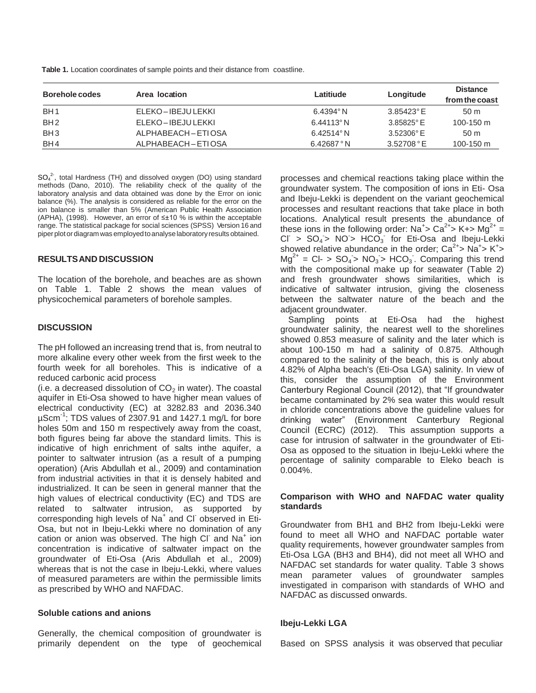**Table 1.** Location coordinates of sample points and their distance from coastline.

| Borehole codes  | Area location        | Latitiude           | Longitude           | <b>Distance</b><br>from the coast |  |  |
|-----------------|----------------------|---------------------|---------------------|-----------------------------------|--|--|
| BH <sub>1</sub> | ELEKO-IBEJULEKKI     | $6.4394^{\circ}$ N  | $3.85423^{\circ}$ E | 50 <sub>m</sub>                   |  |  |
| BH <sub>2</sub> | ELEKO-IBEJULEKKI     | $6.44113$ °N        | $3.85825^{\circ}$ E | 100-150 $m$                       |  |  |
| BH <sub>3</sub> | ALPHABEACH – ETI OSA | $6.42514^{\circ}$ N | $3.52306^{\circ}$ E | 50 <sub>m</sub>                   |  |  |
| BH4             | ALPHABEACH-ETIOSA    | 6.42687°N           | 3.52708 °E          | 100-150 m                         |  |  |

SO<sub>4</sub><sup>2</sup>, total Hardness (TH) and dissolved oxygen (DO) using standard methods (Dano, 2010). The reliability check of the quality of the laboratory analysis and data obtained was done by the Error on ionic balance (%). The analysis is considered as reliable for the error on the ion balance is smaller than 5% (American Public Health Association (APHA), (1998). However, an error of ≤±10 % is within the acceptable range. The statistical package for social sciences (SPSS) Version 16 and piperplot or diagram was employedtoanalyselaboratory results obtained.

#### **RESULTSAND DISCUSSION**

The location of the borehole, and beaches are as shown on Table 1. Table 2 shows the mean values of physicochemical parameters of borehole samples.

#### **DISCUSSION**

The pH followed an increasing trend that is, from neutral to more alkaline every other week from the first week to the fourth week for all boreholes. This is indicative of a reduced carbonic acid process

(i.e. a decreased dissolution of  $CO<sub>2</sub>$  in water). The coastal aquifer in Eti-Osa showed to have higher mean values of electrical conductivity (EC) at 3282.83 and 2036.340 µScm-1 ; TDS values of 2307.91 and 1427.1 mg/L for bore holes 50m and 150 m respectively away from the coast, both figures being far above the standard limits. This is indicative of high enrichment of salts inthe aquifer, a pointer to saltwater intrusion (as a result of a pumping operation) (Aris Abdullah et al., 2009) and contamination from industrial activities in that it is densely habited and industrialized. It can be seen in general manner that the high values of electrical conductivity (EC) and TDS are related to saltwater intrusion, as supported by corresponding high levels of Na<sup>+</sup> and Cl observed in Eti-Osa, but not in Ibeju-Lekki where no domination of any cation or anion was observed. The high CI and  $\text{Na}^+$  ion concentration is indicative of saltwater impact on the groundwater of Eti-Osa (Aris Abdullah et al., 2009) whereas that is not the case in Ibeju-Lekki, where values of measured parameters are within the permissible limits as prescribed by WHO and NAFDAC.

#### **Soluble cations and anions**

Generally, the chemical composition of groundwater is primarily dependent on the type of geochemical processes and chemical reactions taking place within the groundwater system. The composition of ions in Eti- Osa and Ibeju-Lekki is dependent on the variant geochemical processes and resultant reactions that take place in both locations. Analytical result presents the abundance of these ions in the following order:  $Na^+$ > Ca<sup>2+</sup>> K+> Mg<sup>2+</sup> =  $CI > SO<sub>4</sub> > NO > HCO<sub>3</sub>$  for Eti-Osa and Ibeju-Lekki showed relative abundance in the order;  $Ca^{2+} > Na^{+} > K^{+} >$  $Mg^{2+} = CI - > SO_4 > NO_3 > HCO_3$ . Comparing this trend with the compositional make up for seawater (Table 2) and fresh groundwater shows similarities, which is indicative of saltwater intrusion, giving the closeness between the saltwater nature of the beach and the adiacent groundwater.

Sampling points at Eti-Osa had the highest groundwater salinity, the nearest well to the shorelines showed 0.853 measure of salinity and the later which is about 100-150 m had a salinity of 0.875. Although compared to the salinity of the beach, this is only about 4.82% of Alpha beach's (Eti-Osa LGA) salinity. In view of this, consider the assumption of the Environment Canterbury Regional Council (2012), that "If groundwater became contaminated by 2% sea water this would result in chloride concentrations above the guideline values for drinking water" (Environment Canterbury Regional Council (ECRC) (2012). This assumption supports a case for intrusion of saltwater in the groundwater of Eti-Osa as opposed to the situation in Ibeju-Lekki where the percentage of salinity comparable to Eleko beach is 0.004%.

#### **Comparison with WHO and NAFDAC water quality standards**

Groundwater from BH1 and BH2 from Ibeju-Lekki were found to meet all WHO and NAFDAC portable water quality requirements, however groundwater samples from Eti-Osa LGA (BH3 and BH4), did not meet all WHO and NAFDAC set standards for water quality. Table 3 shows mean parameter values of groundwater samples investigated in comparison with standards of WHO and NAFDAC as discussed onwards.

#### **Ibeju-Lekki LGA**

Based on SPSS analysis it was observed that peculiar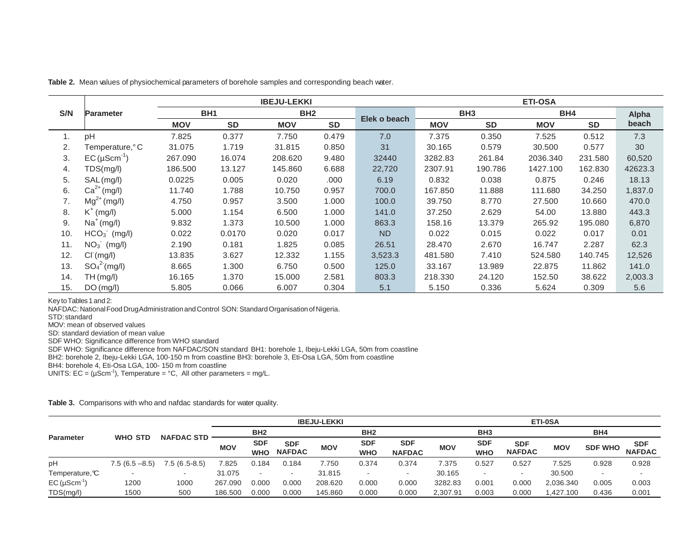|     |                            |            |                 | <b>IBEJU-LEKKI</b> |                 | <b>ETI-OSA</b> |            |                 |            |           |         |  |
|-----|----------------------------|------------|-----------------|--------------------|-----------------|----------------|------------|-----------------|------------|-----------|---------|--|
| S/N | <b>Parameter</b>           |            | BH <sub>1</sub> |                    | BH <sub>2</sub> |                |            | BH <sub>3</sub> | BH4        |           | Alpha   |  |
|     |                            | <b>MOV</b> | <b>SD</b>       | <b>MOV</b>         | <b>SD</b>       | Elek o beach   | <b>MOV</b> | <b>SD</b>       | <b>MOV</b> | <b>SD</b> | beach   |  |
| 1.  | pH                         | 7.825      | 0.377           | 7.750              | 0.479           | 7.0            | 7.375      | 0.350           | 7.525      | 0.512     | 7.3     |  |
| 2.  | Temperature, °C            | 31.075     | 1.719           | 31.815             | 0.850           | 31             | 30.165     | 0.579           | 30.500     | 0.577     | 30      |  |
| 3.  | $EC$ (µScm <sup>-1</sup> ) | 267.090    | 16.074          | 208,620            | 9.480           | 32440          | 3282.83    | 261.84          | 2036.340   | 231.580   | 60,520  |  |
| 4.  | TDS(mg/l)                  | 186.500    | 13.127          | 145.860            | 6.688           | 22,720         | 2307.91    | 190.786         | 1427.100   | 162.830   | 42623.3 |  |
| 5.  | SAL (mg/l)                 | 0.0225     | 0.005           | 0.020              | .000            | 6.19           | 0.832      | 0.038           | 0.875      | 0.246     | 18.13   |  |
| 6.  | $Ca2+ (mg/l)$              | 11.740     | 1.788           | 10.750             | 0.957           | 700.0          | 167.850    | 11.888          | 111.680    | 34.250    | 1,837.0 |  |
| 7.  | $Mg^{2+} (mg/l)$           | 4.750      | 0.957           | 3.500              | 1.000           | 100.0          | 39.750     | 8.770           | 27.500     | 10.660    | 470.0   |  |
| 8.  | $K^+$ (mg/l)               | 5.000      | 1.154           | 6.500              | 1.000           | 141.0          | 37.250     | 2.629           | 54.00      | 13.880    | 443.3   |  |
| 9.  | $Na+(mg/l)$                | 9.832      | 1.373           | 10.500             | 1.000           | 863.3          | 158.16     | 13.379          | 265.92     | 195.080   | 6,870   |  |
| 10. | $HCO3$ (mg/l)              | 0.022      | 0.0170          | 0.020              | 0.017           | N <sub>D</sub> | 0.022      | 0.015           | 0.022      | 0.017     | 0.01    |  |
| 11. | $NO3$ (mg/l)               | 2.190      | 0.181           | 1.825              | 0.085           | 26.51          | 28.470     | 2.670           | 16.747     | 2.287     | 62.3    |  |
| 12. | CI(mg/l)                   | 13.835     | 3.627           | 12.332             | 1.155           | 3,523.3        | 481.580    | 7.410           | 524.580    | 140.745   | 12,526  |  |
| 13. | $SO_4^2$ (mg/l)            | 8.665      | 1.300           | 6.750              | 0.500           | 125.0          | 33.167     | 13.989          | 22.875     | 11.862    | 141.0   |  |
| 14. | TH(mg/l)                   | 16.165     | 1.370           | 15.000             | 2.581           | 803.3          | 218.330    | 24.120          | 152.50     | 38.622    | 2,003.3 |  |
| 15. | DO(mg/l)                   | 5.805      | 0.066           | 6.007              | 0.304           | 5.1            | 5.150      | 0.336           | 5.624      | 0.309     | 5.6     |  |

**Table 2.** Mean values of physiochemical parameters of borehole samples and corresponding beach water.

Key to Tables 1 and 2:

NAFDAC: National Food DrugAdministration and Control SON: Standard Organisation of Nigeria.

STD: standard

MOV: mean of observed values

SD: standard deviation of mean value

SDF WHO: Significance difference from WHO standard

SDF WHO: Significance difference from NAFDAC/SON standard BH1: borehole 1, Ibeju-Lekki LGA, 50m from coastline

BH2: borehole 2, Ibeju-Lekki LGA, 100-150 m from coastline BH3: borehole 3, Eti-Osa LGA, 50m from coastline

BH4: borehole 4, Eti-Osa LGA, 100- 150 m from coastline

UNITS:  $EC = (\mu Scm^{-1})$ , Temperature = °C, All other parameters = mg/L.

**Table 3.** Comparisons with who and nafdac standards for water quality.

|                  | <b>WHO STD</b>   | <b>NAFDAC STD</b>        | <b>IBEJU-LEKKI</b> |                          |                             |                 |                          |                             | ETI-0SA         |                          |                             |            |                |                             |
|------------------|------------------|--------------------------|--------------------|--------------------------|-----------------------------|-----------------|--------------------------|-----------------------------|-----------------|--------------------------|-----------------------------|------------|----------------|-----------------------------|
| <b>Parameter</b> |                  |                          | BH <sub>2</sub>    |                          |                             | BH <sub>2</sub> |                          |                             | BH <sub>3</sub> |                          |                             | BH4        |                |                             |
|                  |                  |                          | <b>MOV</b>         | <b>SDF</b><br><b>WHO</b> | <b>SDF</b><br><b>NAFDAC</b> | <b>MOV</b>      | <b>SDF</b><br><b>WHO</b> | <b>SDF</b><br><b>NAFDAC</b> | <b>MOV</b>      | <b>SDF</b><br><b>WHO</b> | <b>SDF</b><br><b>NAFDAC</b> | <b>MOV</b> | <b>SDF WHO</b> | <b>SDF</b><br><b>NAFDAC</b> |
| pH               | $7.5(6.5 - 8.5)$ | $7.5(6.5-8.5)$           | 7.825              | 0.184                    | 0.184                       | 7.750           | 0.374                    | 0.374                       | 7.375           | 0.527                    | 0.527                       | 7.525      | 0.928          | 0.928                       |
| Temperature, C   |                  | $\overline{\phantom{a}}$ | 31.075             | -                        | $\overline{\phantom{0}}$    | 31.815          |                          | $\sim$                      | 30.165          |                          | $\sim$                      | 30.500     | -              |                             |
| $EC (µScm-1)$    | 1200             | 1000                     | 267.090            | 0.000                    | 0.000                       | 208.620         | 0.000                    | 0.000                       | 3282.83         | 0.001                    | 0.000                       | 2,036.340  | 0.005          | 0.003                       |
| TDS(mg/l)        | 1500             | 500                      | 186.500            | 0.000                    | 0.000                       | 145.860         | 0.000                    | 0.000                       | 2,307.91        | 0.003                    | 0.000                       | 1,427.100  | 0.436          | 0.001                       |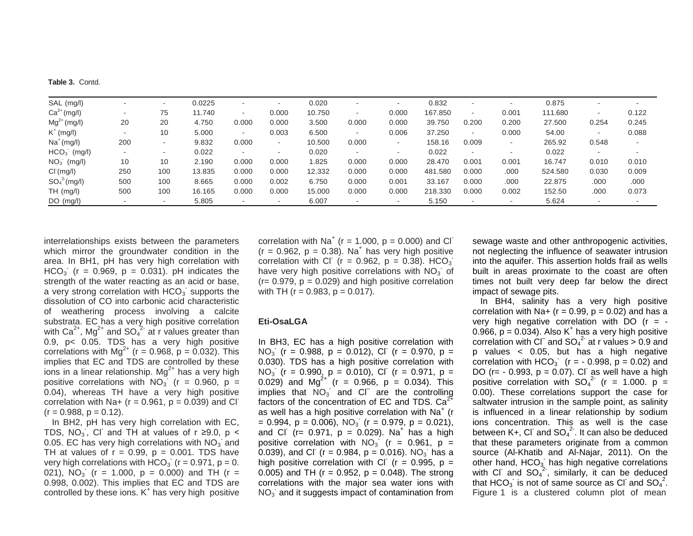|  |  | <b>Table 3. Contd.</b> |
|--|--|------------------------|
|--|--|------------------------|

| SAL (mg/l)       | $\overline{\phantom{a}}$ | $\overline{\phantom{0}}$ | 0.0225 | -                        | $\overline{\phantom{a}}$ | 0.020  | $\overline{\phantom{a}}$ | $\overline{\phantom{0}}$ | 0.832   | $\overline{\phantom{0}}$ | -                        | 0.875   |        |        |
|------------------|--------------------------|--------------------------|--------|--------------------------|--------------------------|--------|--------------------------|--------------------------|---------|--------------------------|--------------------------|---------|--------|--------|
| $Ca2+ (mg/l)$    | ۰                        | 75                       | 11.740 | ۰.                       | 0.000                    | 10.750 | $\sim$                   | 0.000                    | 167.850 | $\sim$                   | 0.001                    | 111.680 | $\sim$ | 0.122  |
| $Mg^{2+} (mg/l)$ | 20                       | 20                       | 4.750  | 0.000                    | 0.000                    | 3.500  | 0.000                    | 0.000                    | 39.750  | 0.200                    | 0.200                    | 27.500  | 0.254  | 0.245  |
| $K^+$ (mg/l)     | $\overline{\phantom{a}}$ | 10                       | 5.000  | $\sim$                   | 0.003                    | 6.500  | $\sim$                   | 0.006                    | 37.250  | $\sim$                   | 0.000                    | 54.00   |        | 0.088  |
| $Na+(mq/l)$      | 200                      | $\overline{\phantom{a}}$ | 9.832  | 0.000                    | $\sim$                   | 10.500 | 0.000                    | $\sim$                   | 158.16  | 0.009                    | $\overline{\phantom{0}}$ | 265.92  | 0.548  | $\sim$ |
| $HCO3$ (mg/l)    | $\sim$                   | $\sim$                   | 0.022  | $\overline{\phantom{a}}$ | ۰                        | 0.020  | ٠                        | $\sim$                   | 0.022   | $\sim$                   |                          | 0.022   |        |        |
| $NO3$ (mg/l)     | 10                       | 10                       | 2.190  | 0.000                    | 0.000                    | 1.825  | 0.000                    | 0.000                    | 28.470  | 0.001                    | 0.001                    | 16.747  | 0.010  | 0.010  |
| CI(mg/l)         | 250                      | 100                      | 13.835 | 0.000                    | 0.000                    | 12.332 | 0.000                    | 0.000                    | 481.580 | 0.000                    | .000                     | 524.580 | 0.030  | 0.009  |
| $SO_4^2$ (mg/l)  | 500                      | 100                      | 8.665  | 0.000                    | 0.002                    | 6.750  | 0.000                    | 0.001                    | 33.167  | 0.000                    | .000                     | 22.875  | .000   | .000   |
| TH (mg/l)        | 500                      | 100                      | 16.165 | 0.000                    | 0.000                    | 15.000 | 0.000                    | 0.000                    | 218,330 | 0.000                    | 0.002                    | 152.50  | .000   | 0.073  |
| $DO$ (mg/l)      | $\overline{\phantom{a}}$ | $\overline{\phantom{a}}$ | 5.805  |                          | $\sim$                   | 6.007  | $\overline{\phantom{0}}$ | $\overline{\phantom{0}}$ | 5.150   | $\sim$                   |                          | 5.624   |        |        |

interrelationships exists between the parameters which mirror the groundwater condition in the area. In BH1, pH has very high correlation with HCO<sub>3</sub> (r = 0.969, p = 0.031). pH indicates the strength of the water reacting as an acid or base, a very strong correlation with  $HCO_3$  supports the dissolution of CO into carbonic acid characteristic of weathering process involving a calcite substrata. EC has a very high positive correlation with Ca<sup>2+</sup>, Mg<sup>2+</sup> and SO<sub>4</sub><sup>2</sup> at r values greater than 0.9, p< 0.05. TDS has a very high positive correlations with  $Mg^{2+}$  (r = 0.968, p = 0.032). This implies that EC and TDS are controlled by these ions in a linear relationship.  $Mg^{2+}$  has a very high positive correlations with  $NO_3^2$  (r = 0.960, p = 0.04), whereas TH have a very high positive correlation with Na+ ( $r = 0.961$ ,  $p = 0.039$ ) and Cl<sup>-</sup>  $(r = 0.988, p = 0.12).$ 

In BH2, pH has very high correlation with EC, TDS, NO<sub>3</sub>, CI and TH at values of r ≥9.0, p < 0.05. EC has very high correlations with  $NO_3^-$  and TH at values of  $r = 0.99$ ,  $p = 0.001$ . TDS have very high correlations with  $HCO_3$ <sup> $\cdot$ </sup> (r = 0.971, p = 0. 021),  $\overline{NO_3}$  (r = 1.000, p = 0.000) and TH (r = 0.998, 0.002). This implies that EC and TDS are controlled by these ions.  $K^+$  has very high positive

correlation with  $Na<sup>+</sup>$  (r = 1.000, p = 0.000) and Cl  $(r = 0.962, p = 0.38)$ . Na<sup>+</sup> has very high positive correlation with CI ( $r = 0.962$ ,  $p = 0.38$ ). HCO<sub>3</sub> have very high positive correlations with  $NO<sub>3</sub>$  of  $(r= 0.979, p = 0.029)$  and high positive correlation with TH ( $r = 0.983$ ,  $p = 0.017$ ).

#### **Eti-OsaLGA**

In BH3, EC has a high positive correlation with NO<sub>3</sub> (r = 0.988, p = 0.012), Cl (r = 0.970, p = 0.030). TDS has a high positive correlation with NO<sub>3</sub> (r = 0.990, p = 0.010), Cl (r = 0.971, p = 0.029) and Mg<sup>2+</sup> (r = 0.966, p = 0.034). This implies that  $NO_3$  and Cl are the controlling factors of the concentration of EC and TDS.  $Ca<sup>2+</sup>$ as well has a high positive correlation with Na<sup>+</sup> (r  $= 0.994$ ,  $p = 0.006$ ), NO<sub>3</sub> (r  $= 0.979$ ,  $p = 0.021$ ), and Cl  $(r = 0.971, p = 0.029)$ . Na<sup>+</sup> has a high positive correlation with  $NO_3^2$  (r = 0.961, p = 0.039), and Cl (r = 0.984, p = 0.016). NO<sub>3</sub> has a high positive correlation with Cl ( $r = 0.995$ ,  $p =$ 0.005) and TH ( $r = 0.952$ ,  $p = 0.048$ ). The strong correlations with the major sea water ions with  $NO<sub>3</sub>$  and it suggests impact of contamination from

sewage waste and other anthropogenic activities, not neglecting the influence of seawater intrusion into the aquifer. This assertion holds frail as wells built in areas proximate to the coast are often times not built very deep far below the direct impact of sewage pits.

In BH4, salinity has a very high positive correlation with Na+ ( $r = 0.99$ ,  $p = 0.02$ ) and has a very high negative correlation with DO  $(r = -$ 0.966,  $\bar{p}$  = 0.034). Also K<sup>+</sup> has a very high positive correlation with  $\text{CI}^{-}$  and  $\text{SO}_4{}^{2}$  at r values > 0.9 and p values < 0.05, but has a high negative correlation with  $HCO<sub>3</sub>$  (r = - 0.998, p = 0.02) and DO ( $r = -0.993$ ,  $p = 0.07$ ). Cl as well have a high positive correlation with  $SO_4^2$  (r = 1.000. p = 0.00). These correlations support the case for saltwater intrusion in the sample point, as salinity is influenced in a linear relationship by sodium ions concentration. This as well is the case between K+, CI and  $SO_4^2$ . It can also be deduced that these parameters originate from a common source (Al-Khatib and Al-Najar, 2011). On the other hand,  $HCO<sub>3</sub>$  has high negative correlations with CI and  $SO_4^{2}$ , similarly, it can be deduced that HCO<sub>3</sub> is not of same source as Cl and SO<sub>4</sub><sup>2</sup>. Figure 1 is a clustered column plot of mean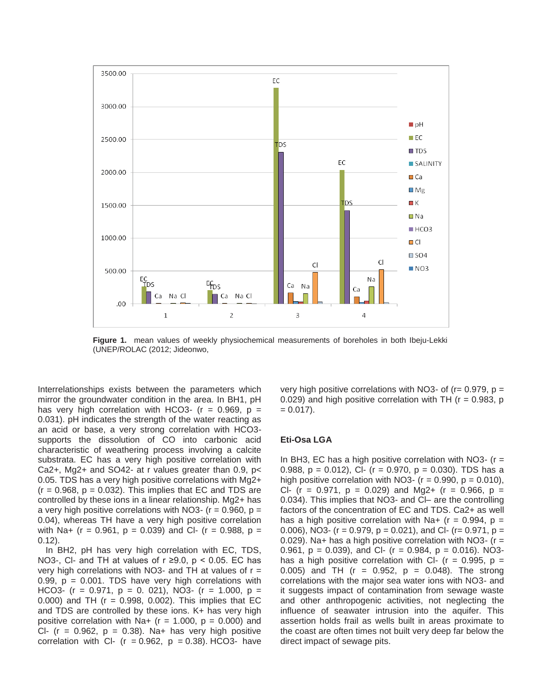

**Figure 1.** mean values of weekly physiochemical measurements of boreholes in both Ibeju-Lekki (UNEP/ROLAC (2012; Jideonwo,

Interrelationships exists between the parameters which mirror the groundwater condition in the area. In BH1, pH has very high correlation with HCO3- ( $r = 0.969$ ,  $p =$ 0.031). pH indicates the strength of the water reacting as an acid or base, a very strong correlation with HCO3 supports the dissolution of CO into carbonic acid characteristic of weathering process involving a calcite substrata. EC has a very high positive correlation with Ca2+, Mg2+ and SO42- at r values greater than 0.9, p< 0.05. TDS has a very high positive correlations with Mg2+  $(r = 0.968, p = 0.032)$ . This implies that EC and TDS are controlled by these ions in a linear relationship. Mg2+ has a very high positive correlations with NO3-  $(r = 0.960, p =$ 0.04), whereas TH have a very high positive correlation with Na+ (r = 0.961,  $p = 0.039$ ) and Cl- (r = 0.988,  $p =$ 0.12).

In BH2, pH has very high correlation with EC, TDS, NO3-, CI- and TH at values of  $r \ge 9.0$ ,  $p < 0.05$ . EC has very high correlations with NO3- and TH at values of  $r =$ 0.99,  $p = 0.001$ . TDS have very high correlations with HCO3- (r = 0.971, p = 0. 021), NO3- (r = 1.000, p = 0.000) and TH ( $r = 0.998$ , 0.002). This implies that EC and TDS are controlled by these ions. K+ has very high positive correlation with Na+  $(r = 1.000, p = 0.000)$  and Cl- ( $r = 0.962$ ,  $p = 0.38$ ). Na+ has very high positive correlation with Cl-  $(r = 0.962, p = 0.38)$ . HCO3- have very high positive correlations with NO3- of ( $r = 0.979$ ,  $p =$ 0.029) and high positive correlation with TH ( $r = 0.983$ , p  $= 0.017$ ).

#### **Eti-Osa LGA**

In BH3, EC has a high positive correlation with  $NO3-$  (r = 0.988,  $p = 0.012$ ), Cl- (r = 0.970,  $p = 0.030$ ). TDS has a high positive correlation with NO3- ( $r = 0.990$ ,  $p = 0.010$ ), Cl- (r = 0.971,  $p = 0.029$ ) and Mg2+ (r = 0.966,  $p =$ 0.034). This implies that NO3- and Cl– are the controlling factors of the concentration of EC and TDS. Ca2+ as well has a high positive correlation with Na+ ( $r = 0.994$ ,  $p =$ 0.006), NO3- ( $r = 0.979$ ,  $p = 0.021$ ), and Cl- ( $r = 0.971$ ,  $p =$ 0.029). Na+ has a high positive correlation with  $NO3-$  (r = 0.961,  $p = 0.039$ , and Cl- (r = 0.984,  $p = 0.016$ ). NO3has a high positive correlation with CI-  $(r = 0.995, p =$ 0.005) and TH ( $r = 0.952$ ,  $p = 0.048$ ). The strong correlations with the major sea water ions with NO3- and it suggests impact of contamination from sewage waste and other anthropogenic activities, not neglecting the influence of seawater intrusion into the aquifer. This assertion holds frail as wells built in areas proximate to the coast are often times not built very deep far below the direct impact of sewage pits.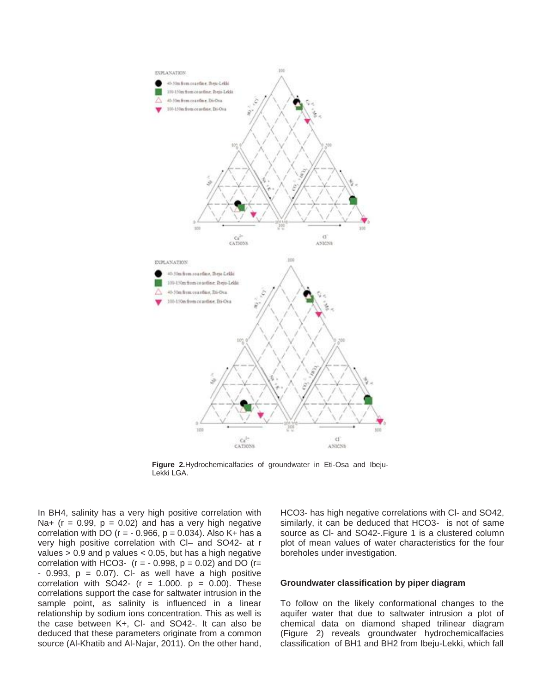

**Figure 2.**Hydrochemicalfacies of groundwater in Eti-Osa and Ibeju-Lekki LGA.

In BH4, salinity has a very high positive correlation with Na+ ( $r = 0.99$ ,  $p = 0.02$ ) and has a very high negative correlation with DO ( $r = -0.966$ ,  $p = 0.034$ ). Also K+ has a very high positive correlation with Cl– and SO42- at r values  $> 0.9$  and p values  $< 0.05$ , but has a high negative correlation with HCO3-  $(r = -0.998, p = 0.02)$  and DO  $(r =$  $-$  0.993,  $p = 0.07$ ). Cl- as well have a high positive correlation with SO42-  $(r = 1.000, p = 0.00)$ . These correlations support the case for saltwater intrusion in the sample point, as salinity is influenced in a linear relationship by sodium ions concentration. This as well is the case between K+, Cl- and SO42-. It can also be deduced that these parameters originate from a common source (Al-Khatib and Al-Najar, 2011). On the other hand,

HCO3- has high negative correlations with Cl- and SO42, similarly, it can be deduced that HCO3- is not of same source as CI- and SO42-. Figure 1 is a clustered column plot of mean values of water characteristics for the four boreholes under investigation.

#### **Groundwater classification by piper diagram**

To follow on the likely conformational changes to the aquifer water that due to saltwater intrusion a plot of chemical data on diamond shaped trilinear diagram (Figure 2) reveals groundwater hydrochemicalfacies classification of BH1 and BH2 from Ibeju-Lekki, which fall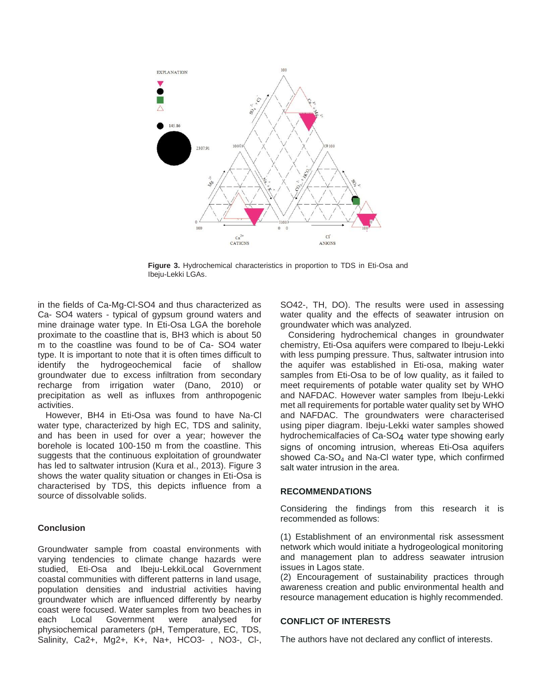

**Figure 3.** Hydrochemical characteristics in proportion to TDS in Eti-Osa and Ibeju-Lekki LGAs.

in the fields of Ca-Mg-Cl-SO4 and thus characterized as Ca- SO4 waters - typical of gypsum ground waters and mine drainage water type. In Eti-Osa LGA the borehole proximate to the coastline that is, BH3 which is about 50 m to the coastline was found to be of Ca- SO4 water type. It is important to note that it is often times difficult to identify the hydrogeochemical facie of shallow groundwater due to excess infiltration from secondary recharge from irrigation water (Dano, 2010) or precipitation as well as influxes from anthropogenic activities.

However, BH4 in Eti-Osa was found to have Na-Cl water type, characterized by high EC, TDS and salinity, and has been in used for over a year; however the borehole is located 100-150 m from the coastline. This suggests that the continuous exploitation of groundwater has led to saltwater intrusion (Kura et al., 2013). Figure 3 shows the water quality situation or changes in Eti-Osa is characterised by TDS, this depicts influence from a source of dissolvable solids.

#### **Conclusion**

Groundwater sample from coastal environments with varying tendencies to climate change hazards were studied, Eti-Osa and Ibeju-LekkiLocal Government coastal communities with different patterns in land usage, population densities and industrial activities having groundwater which are influenced differently by nearby coast were focused. Water samples from two beaches in each Local Government were analysed for physiochemical parameters (pH, Temperature, EC, TDS, Salinity, Ca2+, Mg2+, K+, Na+, HCO3- , NO3-, Cl-, SO42-, TH, DO). The results were used in assessing water quality and the effects of seawater intrusion on groundwater which was analyzed.

Considering hydrochemical changes in groundwater chemistry, Eti-Osa aquifers were compared to Ibeju-Lekki with less pumping pressure. Thus, saltwater intrusion into the aquifer was established in Eti-osa, making water samples from Eti-Osa to be of low quality, as it failed to meet requirements of potable water quality set by WHO and NAFDAC. However water samples from Ibeju-Lekki met all requirements for portable water quality set by WHO and NAFDAC. The groundwaters were characterised using piper diagram. Ibeju-Lekki water samples showed hydrochemicalfacies of Ca-SO4 water type showing early signs of oncoming intrusion, whereas Eti-Osa aquifers showed  $Ca-SO<sub>4</sub>$  and Na-CI water type, which confirmed salt water intrusion in the area.

#### **RECOMMENDATIONS**

Considering the findings from this research it is recommended as follows:

(1) Establishment of an environmental risk assessment network which would initiate a hydrogeological monitoring and management plan to address seawater intrusion issues in Lagos state.

(2) Encouragement of sustainability practices through awareness creation and public environmental health and resource management education is highly recommended.

#### **CONFLICT OF INTERESTS**

The authors have not declared any conflict of interests.